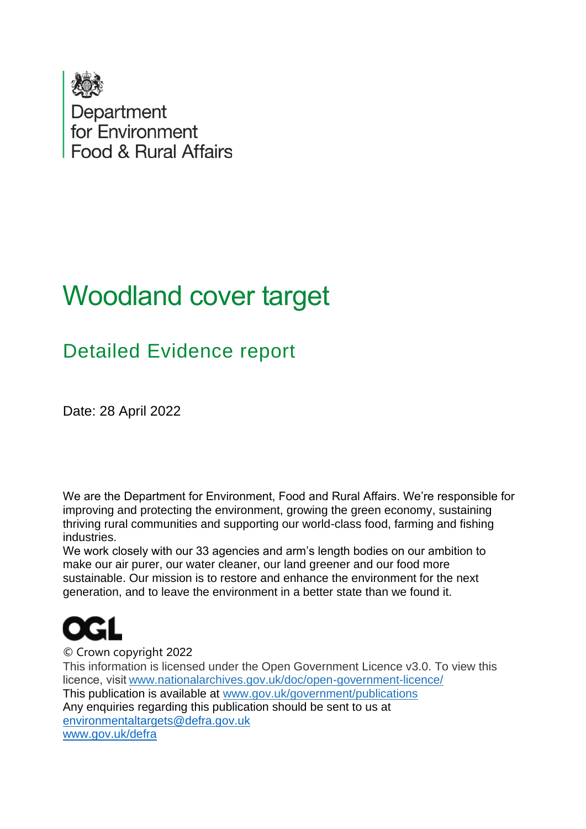

# Woodland cover target

## Detailed Evidence report

Date: 28 April 2022

We are the Department for Environment, Food and Rural Affairs. We're responsible for improving and protecting the environment, growing the green economy, sustaining thriving rural communities and supporting our world-class food, farming and fishing industries.

We work closely with our 33 agencies and arm's length bodies on our ambition to make our air purer, our water cleaner, our land greener and our food more sustainable. Our mission is to restore and enhance the environment for the next generation, and to leave the environment in a better state than we found it.



© Crown copyright 2022

This information is licensed under the Open Government Licence v3.0. To view this licence, visit[www.nationalarchives.gov.uk/doc/open-government-licence/](http://www.nationalarchives.gov.uk/doc/open-government-licence/)  This publication is available at [www.gov.uk/government/publications](http://www.gov.uk/government/publications)  Any enquiries regarding this publication should be sent to us at [environmentaltargets@defra.gov.uk](mailto:environmentaltargets@defra.gov.uk) [www.gov.uk/defra](http://www.gov.uk/defra)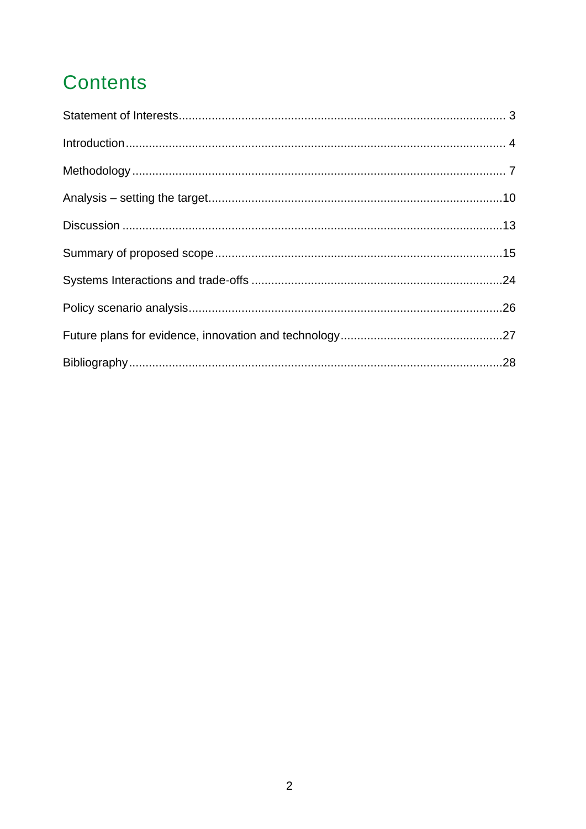## **Contents**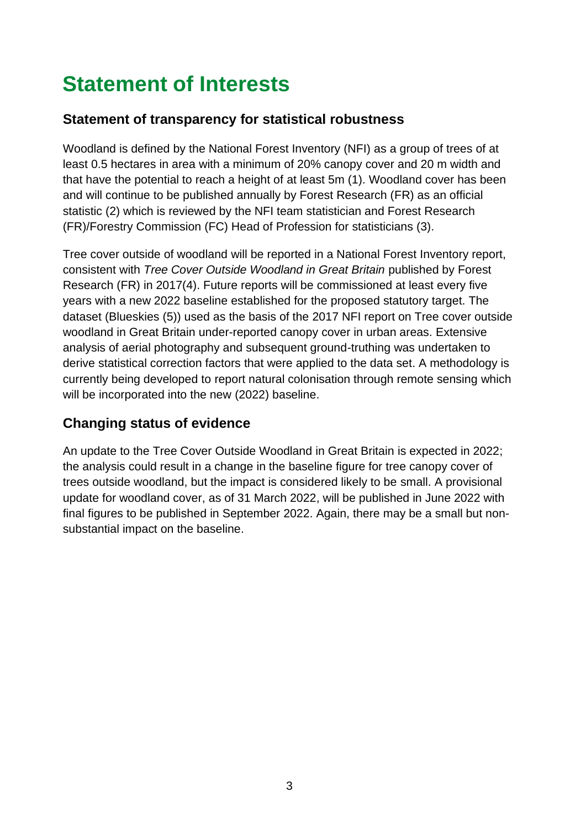# <span id="page-2-0"></span>**Statement of Interests**

#### **Statement of transparency for statistical robustness**

Woodland is defined by the National Forest Inventory (NFI) as a group of trees of at least 0.5 hectares in area with a minimum of 20% canopy cover and 20 m width and that have the potential to reach a height of at least 5m (1). Woodland cover has been and will continue to be published annually by Forest Research (FR) as an official statistic (2) which is reviewed by the NFI team statistician and Forest Research (FR)/Forestry Commission (FC) Head of Profession for statisticians (3).

Tree cover outside of woodland will be reported in a National Forest Inventory report, consistent with *Tree Cover Outside Woodland in Great Britain* published by Forest Research (FR) in 2017(4). Future reports will be commissioned at least every five years with a new 2022 baseline established for the proposed statutory target. The dataset (Blueskies (5)) used as the basis of the 2017 NFI report on Tree cover outside woodland in Great Britain under-reported canopy cover in urban areas. Extensive analysis of aerial photography and subsequent ground-truthing was undertaken to derive statistical correction factors that were applied to the data set. A methodology is currently being developed to report natural colonisation through remote sensing which will be incorporated into the new (2022) baseline.

#### **Changing status of evidence**

An update to the Tree Cover Outside Woodland in Great Britain is expected in 2022; the analysis could result in a change in the baseline figure for tree canopy cover of trees outside woodland, but the impact is considered likely to be small. A provisional update for woodland cover, as of 31 March 2022, will be published in June 2022 with final figures to be published in September 2022. Again, there may be a small but nonsubstantial impact on the baseline.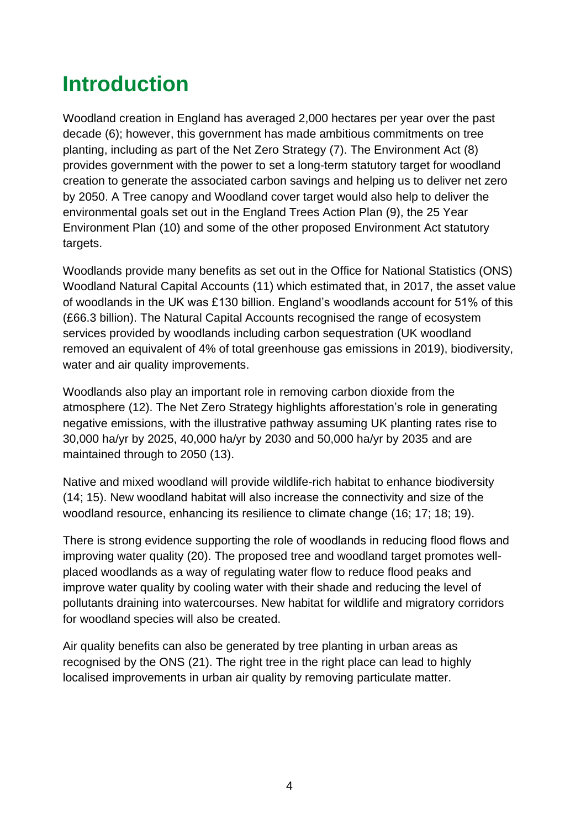# <span id="page-3-0"></span>**Introduction**

Woodland creation in England has averaged 2,000 hectares per year over the past decade (6); however, this government has made ambitious commitments on tree planting, including as part of the Net Zero Strategy (7). The Environment Act (8) provides government with the power to set a long-term statutory target for woodland creation to generate the associated carbon savings and helping us to deliver net zero by 2050. A Tree canopy and Woodland cover target would also help to deliver the environmental goals set out in the England Trees Action Plan (9), the 25 Year Environment Plan (10) and some of the other proposed Environment Act statutory targets.

Woodlands provide many benefits as set out in the Office for National Statistics (ONS) Woodland Natural Capital Accounts (11) which estimated that, in 2017, the asset value of woodlands in the UK was £130 billion. England's woodlands account for 51% of this (£66.3 billion). The Natural Capital Accounts recognised the range of ecosystem services provided by woodlands including carbon sequestration (UK woodland removed an equivalent of 4% of total greenhouse gas emissions in 2019), biodiversity, water and air quality improvements.

Woodlands also play an important role in removing carbon dioxide from the atmosphere (12). The Net Zero Strategy highlights afforestation's role in generating negative emissions, with the illustrative pathway assuming UK planting rates rise to 30,000 ha/yr by 2025, 40,000 ha/yr by 2030 and 50,000 ha/yr by 2035 and are maintained through to 2050 (13).

Native and mixed woodland will provide wildlife-rich habitat to enhance biodiversity (14; 15). New woodland habitat will also increase the connectivity and size of the woodland resource, enhancing its resilience to climate change (16; 17; 18; 19).

There is strong evidence supporting the role of woodlands in reducing flood flows and improving water quality (20). The proposed tree and woodland target promotes wellplaced woodlands as a way of regulating water flow to reduce flood peaks and improve water quality by cooling water with their shade and reducing the level of pollutants draining into watercourses. New habitat for wildlife and migratory corridors for woodland species will also be created.

Air quality benefits can also be generated by tree planting in urban areas as recognised by the ONS (21). The right tree in the right place can lead to highly localised improvements in urban air quality by removing particulate matter.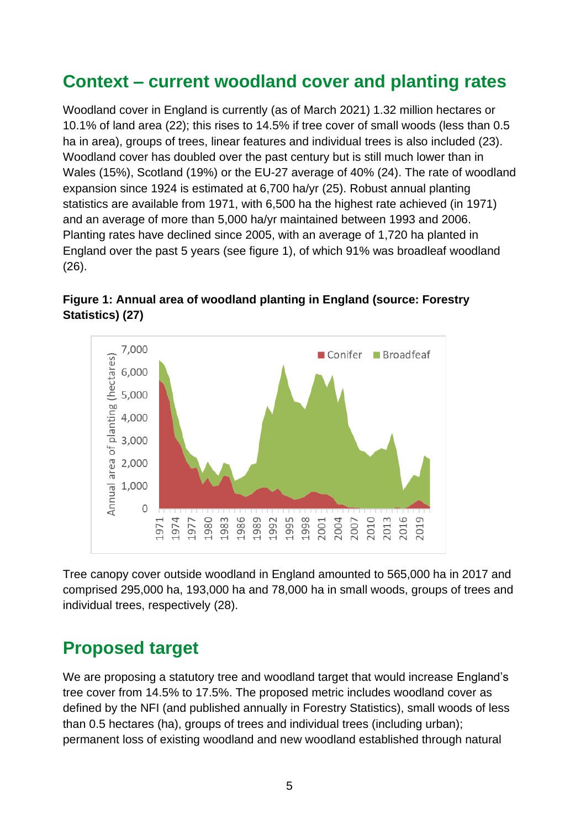## **Context – current woodland cover and planting rates**

Woodland cover in England is currently (as of March 2021) 1.32 million hectares or 10.1% of land area (22); this rises to 14.5% if tree cover of small woods (less than 0.5 ha in area), groups of trees, linear features and individual trees is also included (23). Woodland cover has doubled over the past century but is still much lower than in Wales (15%), Scotland (19%) or the EU-27 average of 40% (24). The rate of woodland expansion since 1924 is estimated at 6,700 ha/yr (25). Robust annual planting statistics are available from 1971, with 6,500 ha the highest rate achieved (in 1971) and an average of more than 5,000 ha/yr maintained between 1993 and 2006. Planting rates have declined since 2005, with an average of 1,720 ha planted in England over the past 5 years (see figure 1), of which 91% was broadleaf woodland (26).



**Figure 1: Annual area of woodland planting in England (source: Forestry Statistics) (27)** 

Tree canopy cover outside woodland in England amounted to 565,000 ha in 2017 and comprised 295,000 ha, 193,000 ha and 78,000 ha in small woods, groups of trees and individual trees, respectively (28).

### **Proposed target**

We are proposing a statutory tree and woodland target that would increase England's tree cover from 14.5% to 17.5%. The proposed metric includes woodland cover as defined by the NFI (and published annually in Forestry Statistics), small woods of less than 0.5 hectares (ha), groups of trees and individual trees (including urban); permanent loss of existing woodland and new woodland established through natural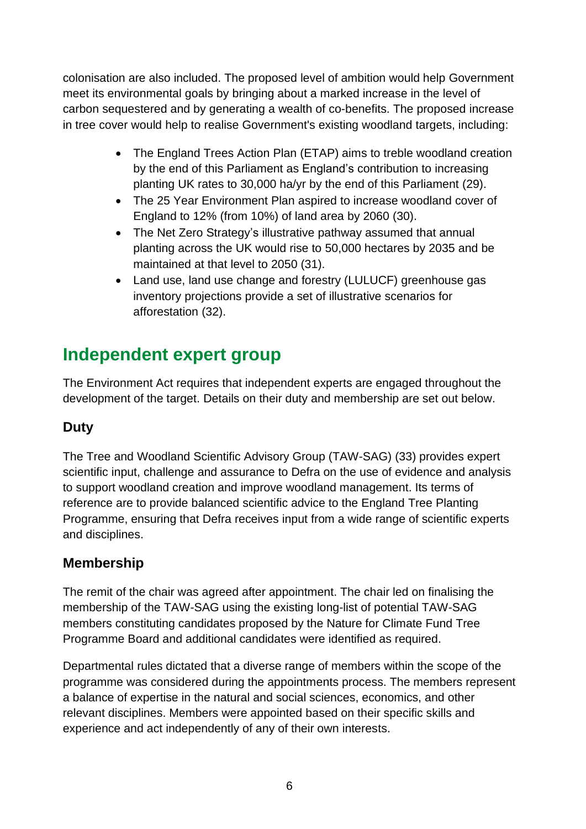colonisation are also included. The proposed level of ambition would help Government meet its environmental goals by bringing about a marked increase in the level of carbon sequestered and by generating a wealth of co-benefits. The proposed increase in tree cover would help to realise Government's existing woodland targets, including:

- The England Trees Action Plan (ETAP) aims to treble woodland creation by the end of this Parliament as England's contribution to increasing planting UK rates to 30,000 ha/yr by the end of this Parliament (29).
- The 25 Year Environment Plan aspired to increase woodland cover of England to 12% (from 10%) of land area by 2060 (30).
- The Net Zero Strategy's illustrative pathway assumed that annual planting across the UK would rise to 50,000 hectares by 2035 and be maintained at that level to 2050 (31).
- Land use, land use change and forestry (LULUCF) greenhouse gas inventory projections provide a set of illustrative scenarios for afforestation (32).

## **Independent expert group**

The Environment Act requires that independent experts are engaged throughout the development of the target. Details on their duty and membership are set out below.

#### **Duty**

The Tree and Woodland Scientific Advisory Group (TAW-SAG) (33) provides expert scientific input, challenge and assurance to Defra on the use of evidence and analysis to support woodland creation and improve woodland management. Its terms of reference are to provide balanced scientific advice to the England Tree Planting Programme, ensuring that Defra receives input from a wide range of scientific experts and disciplines.

#### **Membership**

The remit of the chair was agreed after appointment. The chair led on finalising the membership of the TAW-SAG using the existing long-list of potential TAW-SAG members constituting candidates proposed by the Nature for Climate Fund Tree Programme Board and additional candidates were identified as required.

Departmental rules dictated that a diverse range of members within the scope of the programme was considered during the appointments process. The members represent a balance of expertise in the natural and social sciences, economics, and other relevant disciplines. Members were appointed based on their specific skills and experience and act independently of any of their own interests.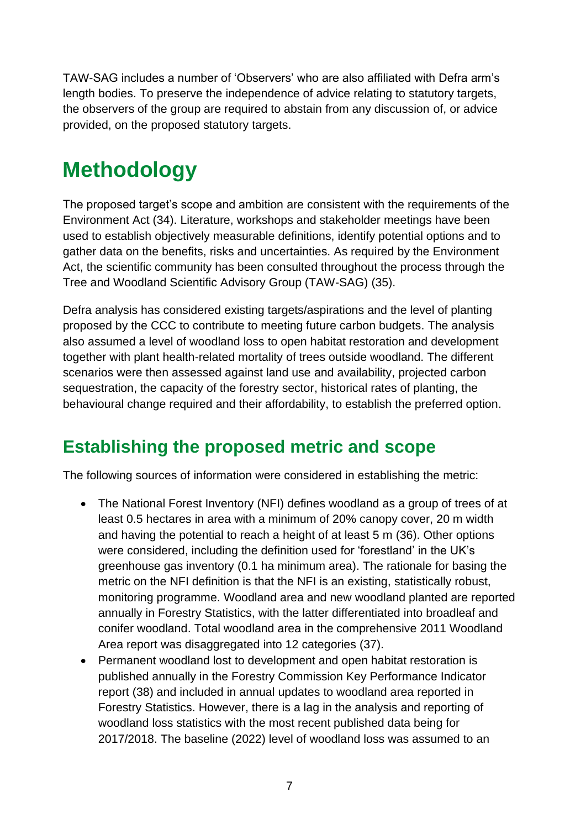TAW-SAG includes a number of 'Observers' who are also affiliated with Defra arm's length bodies. To preserve the independence of advice relating to statutory targets, the observers of the group are required to abstain from any discussion of, or advice provided, on the proposed statutory targets.

# <span id="page-6-0"></span>**Methodology**

The proposed target's scope and ambition are consistent with the requirements of the Environment Act (34). Literature, workshops and stakeholder meetings have been used to establish objectively measurable definitions, identify potential options and to gather data on the benefits, risks and uncertainties. As required by the Environment Act, the scientific community has been consulted throughout the process through the Tree and Woodland Scientific Advisory Group (TAW-SAG) (35).

Defra analysis has considered existing targets/aspirations and the level of planting proposed by the CCC to contribute to meeting future carbon budgets. The analysis also assumed a level of woodland loss to open habitat restoration and development together with plant health-related mortality of trees outside woodland. The different scenarios were then assessed against land use and availability, projected carbon sequestration, the capacity of the forestry sector, historical rates of planting, the behavioural change required and their affordability, to establish the preferred option.

## **Establishing the proposed metric and scope**

The following sources of information were considered in establishing the metric:

- The National Forest Inventory (NFI) defines woodland as a group of trees of at least 0.5 hectares in area with a minimum of 20% canopy cover, 20 m width and having the potential to reach a height of at least 5 m (36). Other options were considered, including the definition used for 'forestland' in the UK's greenhouse gas inventory (0.1 ha minimum area). The rationale for basing the metric on the NFI definition is that the NFI is an existing, statistically robust, monitoring programme. Woodland area and new woodland planted are reported annually in Forestry Statistics, with the latter differentiated into broadleaf and conifer woodland. Total woodland area in the comprehensive 2011 Woodland Area report was disaggregated into 12 categories (37).
- Permanent woodland lost to development and open habitat restoration is published annually in the Forestry Commission Key Performance Indicator report (38) and included in annual updates to woodland area reported in Forestry Statistics. However, there is a lag in the analysis and reporting of woodland loss statistics with the most recent published data being for 2017/2018. The baseline (2022) level of woodland loss was assumed to an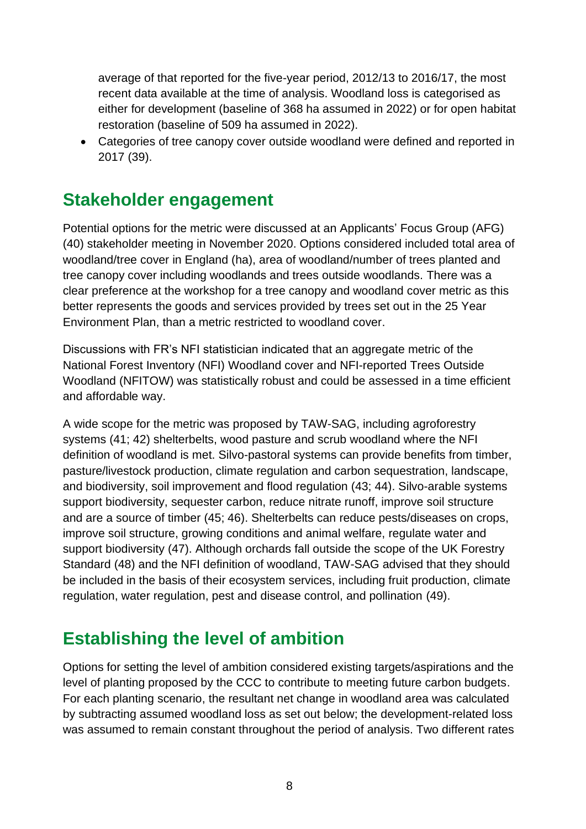average of that reported for the five-year period, 2012/13 to 2016/17, the most recent data available at the time of analysis. Woodland loss is categorised as either for development (baseline of 368 ha assumed in 2022) or for open habitat restoration (baseline of 509 ha assumed in 2022).

• Categories of tree canopy cover outside woodland were defined and reported in 2017 (39).

## **Stakeholder engagement**

Potential options for the metric were discussed at an Applicants' Focus Group (AFG) (40) stakeholder meeting in November 2020. Options considered included total area of woodland/tree cover in England (ha), area of woodland/number of trees planted and tree canopy cover including woodlands and trees outside woodlands. There was a clear preference at the workshop for a tree canopy and woodland cover metric as this better represents the goods and services provided by trees set out in the 25 Year Environment Plan, than a metric restricted to woodland cover.

Discussions with FR's NFI statistician indicated that an aggregate metric of the National Forest Inventory (NFI) Woodland cover and NFI-reported Trees Outside Woodland (NFITOW) was statistically robust and could be assessed in a time efficient and affordable way.

A wide scope for the metric was proposed by TAW-SAG, including agroforestry systems (41; 42) shelterbelts, wood pasture and scrub woodland where the NFI definition of woodland is met. Silvo-pastoral systems can provide benefits from timber, pasture/livestock production, climate regulation and carbon sequestration, landscape, and biodiversity, soil improvement and flood regulation (43; 44). Silvo-arable systems support biodiversity, sequester carbon, reduce nitrate runoff, improve soil structure and are a source of timber (45; 46). Shelterbelts can reduce pests/diseases on crops, improve soil structure, growing conditions and animal welfare, regulate water and support biodiversity (47). Although orchards fall outside the scope of the UK Forestry Standard (48) and the NFI definition of woodland, TAW-SAG advised that they should be included in the basis of their ecosystem services, including fruit production, climate regulation, water regulation, pest and disease control, and pollination (49).

## **Establishing the level of ambition**

Options for setting the level of ambition considered existing targets/aspirations and the level of planting proposed by the CCC to contribute to meeting future carbon budgets. For each planting scenario, the resultant net change in woodland area was calculated by subtracting assumed woodland loss as set out below; the development-related loss was assumed to remain constant throughout the period of analysis. Two different rates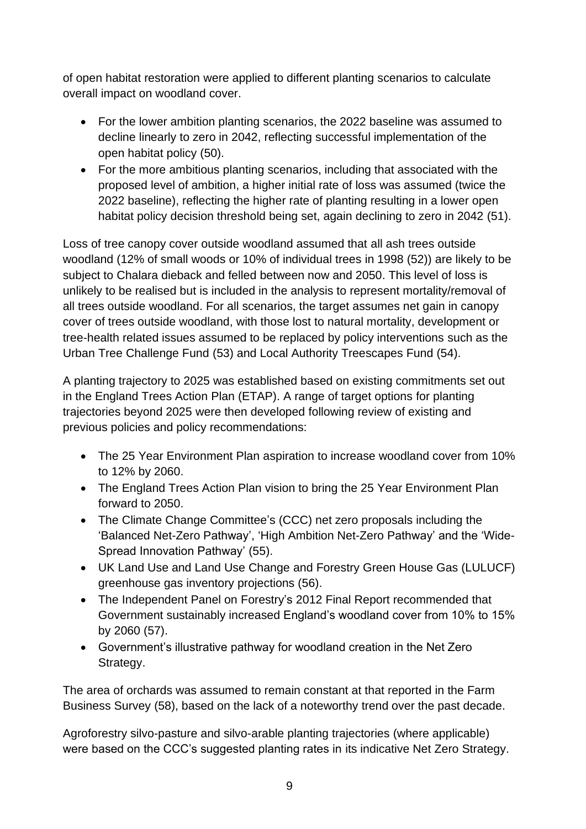of open habitat restoration were applied to different planting scenarios to calculate overall impact on woodland cover.

- For the lower ambition planting scenarios, the 2022 baseline was assumed to decline linearly to zero in 2042, reflecting successful implementation of the open habitat policy (50).
- For the more ambitious planting scenarios, including that associated with the proposed level of ambition, a higher initial rate of loss was assumed (twice the 2022 baseline), reflecting the higher rate of planting resulting in a lower open habitat policy decision threshold being set, again declining to zero in 2042 (51).

Loss of tree canopy cover outside woodland assumed that all ash trees outside woodland (12% of small woods or 10% of individual trees in 1998 (52)) are likely to be subject to Chalara dieback and felled between now and 2050. This level of loss is unlikely to be realised but is included in the analysis to represent mortality/removal of all trees outside woodland. For all scenarios, the target assumes net gain in canopy cover of trees outside woodland, with those lost to natural mortality, development or tree-health related issues assumed to be replaced by policy interventions such as the Urban Tree Challenge Fund (53) and Local Authority Treescapes Fund (54).

A planting trajectory to 2025 was established based on existing commitments set out in the England Trees Action Plan (ETAP). A range of target options for planting trajectories beyond 2025 were then developed following review of existing and previous policies and policy recommendations:

- The 25 Year Environment Plan aspiration to increase woodland cover from 10% to 12% by 2060.
- The England Trees Action Plan vision to bring the 25 Year Environment Plan forward to 2050.
- The Climate Change Committee's (CCC) net zero proposals including the 'Balanced Net-Zero Pathway', 'High Ambition Net-Zero Pathway' and the 'Wide-Spread Innovation Pathway' (55).
- UK Land Use and Land Use Change and Forestry Green House Gas (LULUCF) greenhouse gas inventory projections (56).
- The Independent Panel on Forestry's 2012 Final Report recommended that Government sustainably increased England's woodland cover from 10% to 15% by 2060 (57).
- Government's illustrative pathway for woodland creation in the Net Zero Strategy.

The area of orchards was assumed to remain constant at that reported in the Farm Business Survey (58), based on the lack of a noteworthy trend over the past decade.

Agroforestry silvo-pasture and silvo-arable planting trajectories (where applicable) were based on the CCC's suggested planting rates in its indicative Net Zero Strategy.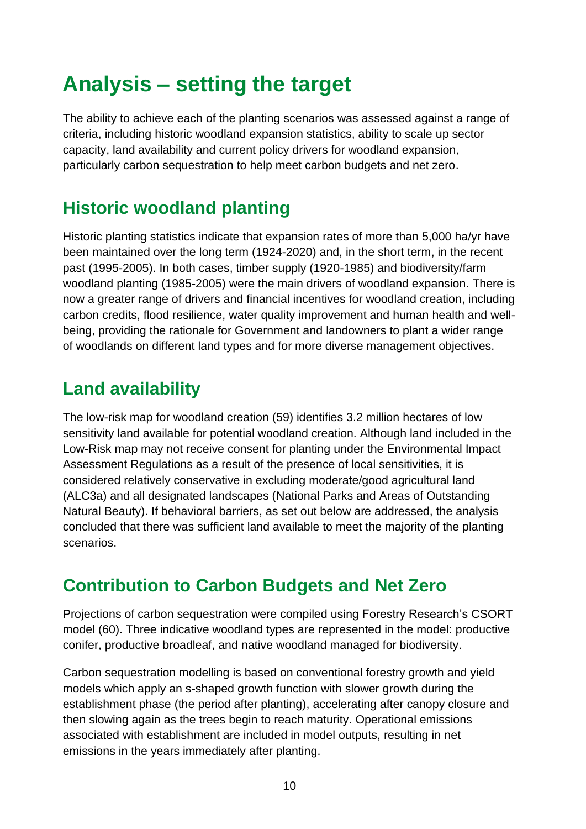# <span id="page-9-0"></span>**Analysis – setting the target**

The ability to achieve each of the planting scenarios was assessed against a range of criteria, including historic woodland expansion statistics, ability to scale up sector capacity, land availability and current policy drivers for woodland expansion, particularly carbon sequestration to help meet carbon budgets and net zero.

## **Historic woodland planting**

Historic planting statistics indicate that expansion rates of more than 5,000 ha/yr have been maintained over the long term (1924-2020) and, in the short term, in the recent past (1995-2005). In both cases, timber supply (1920-1985) and biodiversity/farm woodland planting (1985-2005) were the main drivers of woodland expansion. There is now a greater range of drivers and financial incentives for woodland creation, including carbon credits, flood resilience, water quality improvement and human health and wellbeing, providing the rationale for Government and landowners to plant a wider range of woodlands on different land types and for more diverse management objectives.

## **Land availability**

The low-risk map for woodland creation (59) identifies 3.2 million hectares of low sensitivity land available for potential woodland creation. Although land included in the Low-Risk map may not receive consent for planting under the Environmental Impact Assessment Regulations as a result of the presence of local sensitivities, it is considered relatively conservative in excluding moderate/good agricultural land (ALC3a) and all designated landscapes (National Parks and Areas of Outstanding Natural Beauty). If behavioral barriers, as set out below are addressed, the analysis concluded that there was sufficient land available to meet the majority of the planting scenarios.

## **Contribution to Carbon Budgets and Net Zero**

Projections of carbon sequestration were compiled using Forestry Research's CSORT model (60). Three indicative woodland types are represented in the model: productive conifer, productive broadleaf, and native woodland managed for biodiversity.

Carbon sequestration modelling is based on conventional forestry growth and yield models which apply an s-shaped growth function with slower growth during the establishment phase (the period after planting), accelerating after canopy closure and then slowing again as the trees begin to reach maturity. Operational emissions associated with establishment are included in model outputs, resulting in net emissions in the years immediately after planting.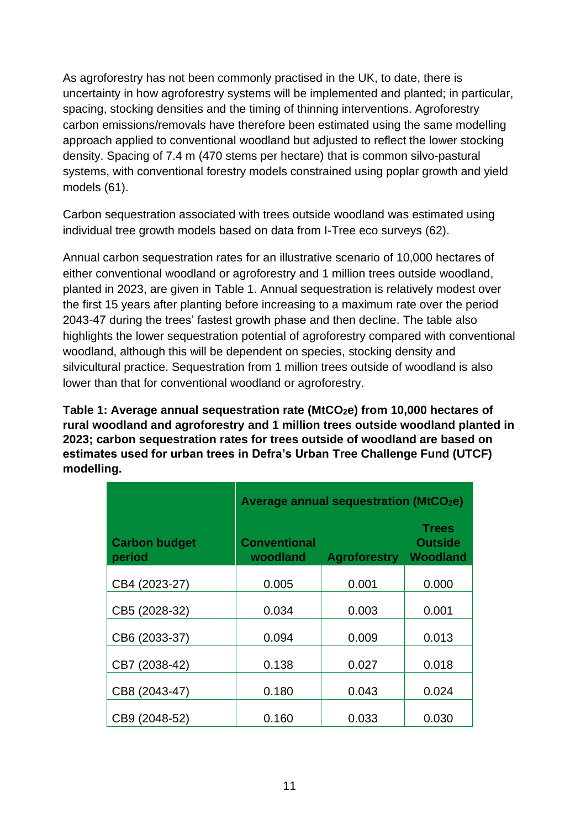As agroforestry has not been commonly practised in the UK, to date, there is uncertainty in how agroforestry systems will be implemented and planted; in particular, spacing, stocking densities and the timing of thinning interventions. Agroforestry carbon emissions/removals have therefore been estimated using the same modelling approach applied to conventional woodland but adjusted to reflect the lower stocking density. Spacing of 7.4 m (470 stems per hectare) that is common silvo-pastural systems, with conventional forestry models constrained using poplar growth and yield models (61).

Carbon sequestration associated with trees outside woodland was estimated using individual tree growth models based on data from I-Tree eco surveys (62).

Annual carbon sequestration rates for an illustrative scenario of 10,000 hectares of either conventional woodland or agroforestry and 1 million trees outside woodland, planted in 2023, are given in Table 1. Annual sequestration is relatively modest over the first 15 years after planting before increasing to a maximum rate over the period 2043-47 during the trees' fastest growth phase and then decline. The table also highlights the lower sequestration potential of agroforestry compared with conventional woodland, although this will be dependent on species, stocking density and silvicultural practice. Sequestration from 1 million trees outside of woodland is also lower than that for conventional woodland or agroforestry.

**Table 1: Average annual sequestration rate (MtCO2e) from 10,000 hectares of rural woodland and agroforestry and 1 million trees outside woodland planted in 2023; carbon sequestration rates for trees outside of woodland are based on estimates used for urban trees in Defra's Urban Tree Challenge Fund (UTCF) modelling.** 

|                                | <b>Average annual sequestration (MtCO2e)</b> |                     |                                                   |  |  |
|--------------------------------|----------------------------------------------|---------------------|---------------------------------------------------|--|--|
| <b>Carbon budget</b><br>period | <b>Conventional</b><br>woodland              | <b>Agroforestry</b> | <b>Trees</b><br><b>Outside</b><br><b>Woodland</b> |  |  |
| CB4 (2023-27)                  | 0.005                                        | 0.001               | 0.000                                             |  |  |
| CB5 (2028-32)                  | 0.034                                        | 0.003               | 0.001                                             |  |  |
| CB6 (2033-37)                  | 0.094                                        | 0.009               | 0.013                                             |  |  |
| CB7 (2038-42)                  | 0.138                                        | 0.027               | 0.018                                             |  |  |
| CB8 (2043-47)                  | 0.180                                        | 0.043               | 0.024                                             |  |  |
| CB9 (2048-52)                  | 0.160                                        | 0.033               | 0.030                                             |  |  |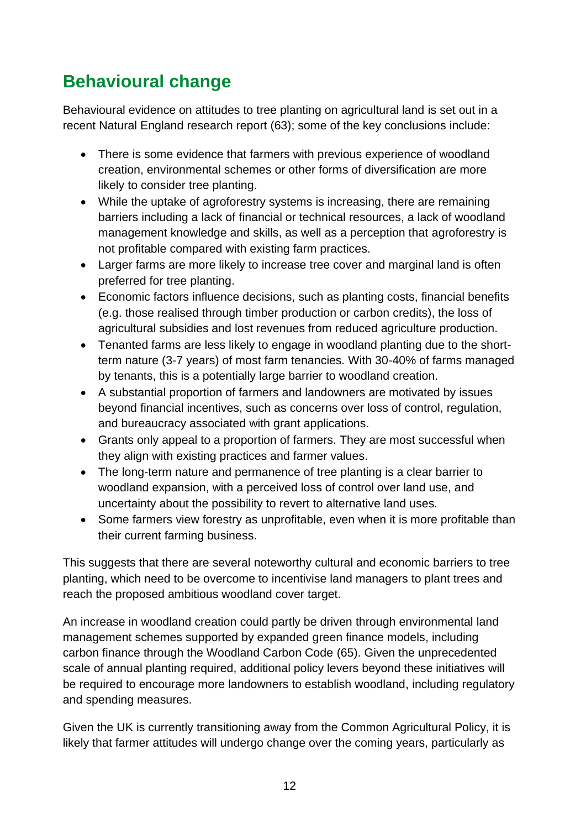## **Behavioural change**

Behavioural evidence on attitudes to tree planting on agricultural land is set out in a recent Natural England research report (63); some of the key conclusions include:

- There is some evidence that farmers with previous experience of woodland creation, environmental schemes or other forms of diversification are more likely to consider tree planting.
- While the uptake of agroforestry systems is increasing, there are remaining barriers including a lack of financial or technical resources, a lack of woodland management knowledge and skills, as well as a perception that agroforestry is not profitable compared with existing farm practices.
- Larger farms are more likely to increase tree cover and marginal land is often preferred for tree planting.
- Economic factors influence decisions, such as planting costs, financial benefits (e.g. those realised through timber production or carbon credits), the loss of agricultural subsidies and lost revenues from reduced agriculture production.
- Tenanted farms are less likely to engage in woodland planting due to the shortterm nature (3-7 years) of most farm tenancies. With 30-40% of farms managed by tenants, this is a potentially large barrier to woodland creation.
- A substantial proportion of farmers and landowners are motivated by issues beyond financial incentives, such as concerns over loss of control, regulation, and bureaucracy associated with grant applications.
- Grants only appeal to a proportion of farmers. They are most successful when they align with existing practices and farmer values.
- The long-term nature and permanence of tree planting is a clear barrier to woodland expansion, with a perceived loss of control over land use, and uncertainty about the possibility to revert to alternative land uses.
- Some farmers view forestry as unprofitable, even when it is more profitable than their current farming business.

This suggests that there are several noteworthy cultural and economic barriers to tree planting, which need to be overcome to incentivise land managers to plant trees and reach the proposed ambitious woodland cover target.

An increase in woodland creation could partly be driven through environmental land management schemes supported by expanded green finance models, including carbon finance through the Woodland Carbon Code (65). Given the unprecedented scale of annual planting required, additional policy levers beyond these initiatives will be required to encourage more landowners to establish woodland, including regulatory and spending measures.

Given the UK is currently transitioning away from the Common Agricultural Policy, it is likely that farmer attitudes will undergo change over the coming years, particularly as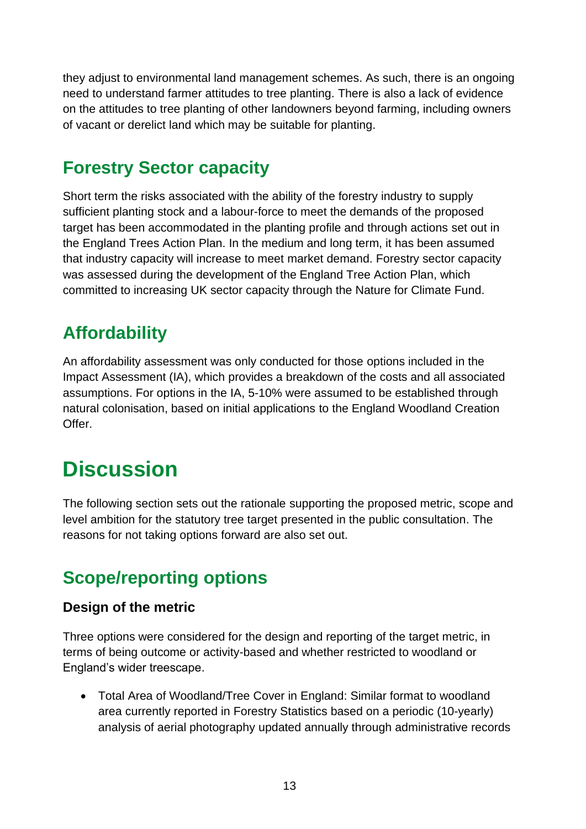they adjust to environmental land management schemes. As such, there is an ongoing need to understand farmer attitudes to tree planting. There is also a lack of evidence on the attitudes to tree planting of other landowners beyond farming, including owners of vacant or derelict land which may be suitable for planting.

## **Forestry Sector capacity**

Short term the risks associated with the ability of the forestry industry to supply sufficient planting stock and a labour-force to meet the demands of the proposed target has been accommodated in the planting profile and through actions set out in the England Trees Action Plan. In the medium and long term, it has been assumed that industry capacity will increase to meet market demand. Forestry sector capacity was assessed during the development of the England Tree Action Plan, which committed to increasing UK sector capacity through the Nature for Climate Fund.

## **Affordability**

An affordability assessment was only conducted for those options included in the Impact Assessment (IA), which provides a breakdown of the costs and all associated assumptions. For options in the IA, 5-10% were assumed to be established through natural colonisation, based on initial applications to the England Woodland Creation Offer.

# <span id="page-12-0"></span>**Discussion**

The following section sets out the rationale supporting the proposed metric, scope and level ambition for the statutory tree target presented in the public consultation. The reasons for not taking options forward are also set out.

## **Scope/reporting options**

#### **Design of the metric**

Three options were considered for the design and reporting of the target metric, in terms of being outcome or activity-based and whether restricted to woodland or England's wider treescape.

• Total Area of Woodland/Tree Cover in England: Similar format to woodland area currently reported in Forestry Statistics based on a periodic (10-yearly) analysis of aerial photography updated annually through administrative records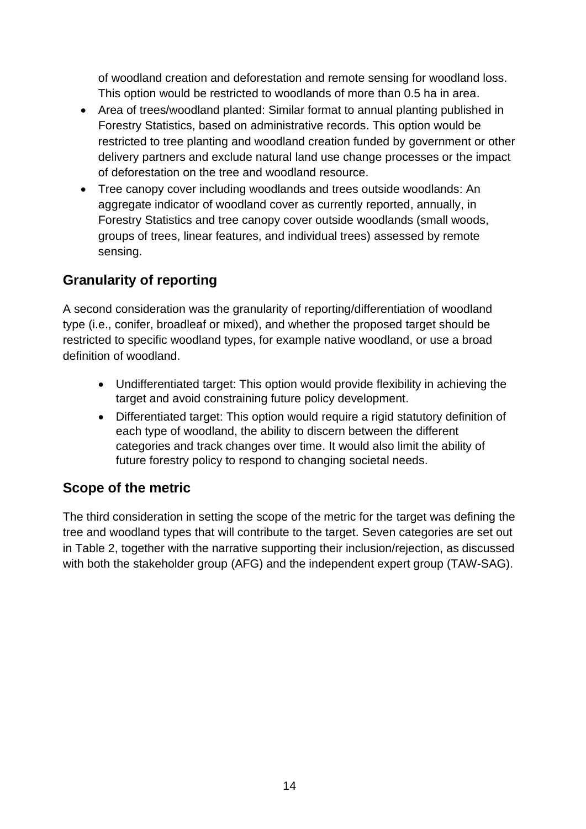of woodland creation and deforestation and remote sensing for woodland loss. This option would be restricted to woodlands of more than 0.5 ha in area.

- Area of trees/woodland planted: Similar format to annual planting published in Forestry Statistics, based on administrative records. This option would be restricted to tree planting and woodland creation funded by government or other delivery partners and exclude natural land use change processes or the impact of deforestation on the tree and woodland resource.
- Tree canopy cover including woodlands and trees outside woodlands: An aggregate indicator of woodland cover as currently reported, annually, in Forestry Statistics and tree canopy cover outside woodlands (small woods, groups of trees, linear features, and individual trees) assessed by remote sensing.

#### **Granularity of reporting**

A second consideration was the granularity of reporting/differentiation of woodland type (i.e., conifer, broadleaf or mixed), and whether the proposed target should be restricted to specific woodland types, for example native woodland, or use a broad definition of woodland.

- Undifferentiated target: This option would provide flexibility in achieving the target and avoid constraining future policy development.
- Differentiated target: This option would require a rigid statutory definition of each type of woodland, the ability to discern between the different categories and track changes over time. It would also limit the ability of future forestry policy to respond to changing societal needs.

#### **Scope of the metric**

The third consideration in setting the scope of the metric for the target was defining the tree and woodland types that will contribute to the target. Seven categories are set out in Table 2, together with the narrative supporting their inclusion/rejection, as discussed with both the stakeholder group (AFG) and the independent expert group (TAW-SAG).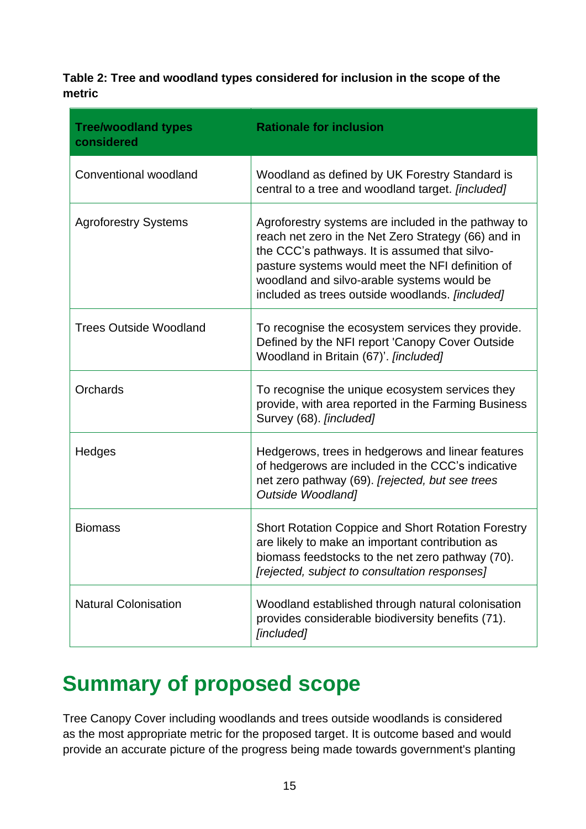**Table 2: Tree and woodland types considered for inclusion in the scope of the metric**

| <b>Tree/woodland types</b><br>considered | <b>Rationale for inclusion</b>                                                                                                                                                                                                                                                                                   |
|------------------------------------------|------------------------------------------------------------------------------------------------------------------------------------------------------------------------------------------------------------------------------------------------------------------------------------------------------------------|
| Conventional woodland                    | Woodland as defined by UK Forestry Standard is<br>central to a tree and woodland target. [included]                                                                                                                                                                                                              |
| <b>Agroforestry Systems</b>              | Agroforestry systems are included in the pathway to<br>reach net zero in the Net Zero Strategy (66) and in<br>the CCC's pathways. It is assumed that silvo-<br>pasture systems would meet the NFI definition of<br>woodland and silvo-arable systems would be<br>included as trees outside woodlands. [included] |
| <b>Trees Outside Woodland</b>            | To recognise the ecosystem services they provide.<br>Defined by the NFI report 'Canopy Cover Outside<br>Woodland in Britain (67)'. [included]                                                                                                                                                                    |
| Orchards                                 | To recognise the unique ecosystem services they<br>provide, with area reported in the Farming Business<br>Survey (68). [included]                                                                                                                                                                                |
| Hedges                                   | Hedgerows, trees in hedgerows and linear features<br>of hedgerows are included in the CCC's indicative<br>net zero pathway (69). [rejected, but see trees<br><b>Outside Woodland]</b>                                                                                                                            |
| <b>Biomass</b>                           | <b>Short Rotation Coppice and Short Rotation Forestry</b><br>are likely to make an important contribution as<br>biomass feedstocks to the net zero pathway (70).<br>[rejected, subject to consultation responses]                                                                                                |
| <b>Natural Colonisation</b>              | Woodland established through natural colonisation<br>provides considerable biodiversity benefits (71).<br>[included]                                                                                                                                                                                             |

## <span id="page-14-0"></span>**Summary of proposed scope**

Tree Canopy Cover including woodlands and trees outside woodlands is considered as the most appropriate metric for the proposed target. It is outcome based and would provide an accurate picture of the progress being made towards government's planting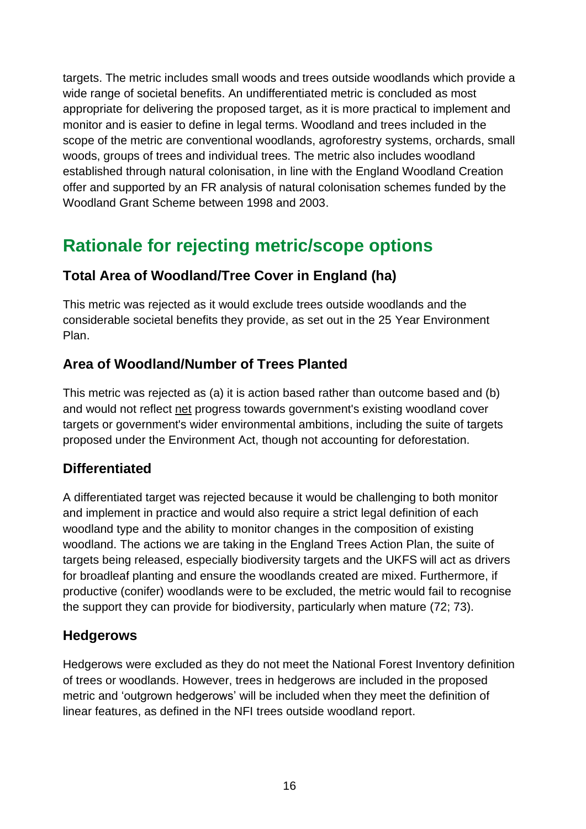targets. The metric includes small woods and trees outside woodlands which provide a wide range of societal benefits. An undifferentiated metric is concluded as most appropriate for delivering the proposed target, as it is more practical to implement and monitor and is easier to define in legal terms. Woodland and trees included in the scope of the metric are conventional woodlands, agroforestry systems, orchards, small woods, groups of trees and individual trees. The metric also includes woodland established through natural colonisation, in line with the England Woodland Creation offer and supported by an FR analysis of natural colonisation schemes funded by the Woodland Grant Scheme between 1998 and 2003.

## **Rationale for rejecting metric/scope options**

#### **Total Area of Woodland/Tree Cover in England (ha)**

This metric was rejected as it would exclude trees outside woodlands and the considerable societal benefits they provide, as set out in the 25 Year Environment Plan.

#### **Area of Woodland/Number of Trees Planted**

This metric was rejected as (a) it is action based rather than outcome based and (b) and would not reflect net progress towards government's existing woodland cover targets or government's wider environmental ambitions, including the suite of targets proposed under the Environment Act, though not accounting for deforestation.

#### **Differentiated**

A differentiated target was rejected because it would be challenging to both monitor and implement in practice and would also require a strict legal definition of each woodland type and the ability to monitor changes in the composition of existing woodland. The actions we are taking in the England Trees Action Plan, the suite of targets being released, especially biodiversity targets and the UKFS will act as drivers for broadleaf planting and ensure the woodlands created are mixed. Furthermore, if productive (conifer) woodlands were to be excluded, the metric would fail to recognise the support they can provide for biodiversity, particularly when mature (72; 73).

#### **Hedgerows**

Hedgerows were excluded as they do not meet the National Forest Inventory definition of trees or woodlands. However, trees in hedgerows are included in the proposed metric and 'outgrown hedgerows' will be included when they meet the definition of linear features, as defined in the NFI trees outside woodland report.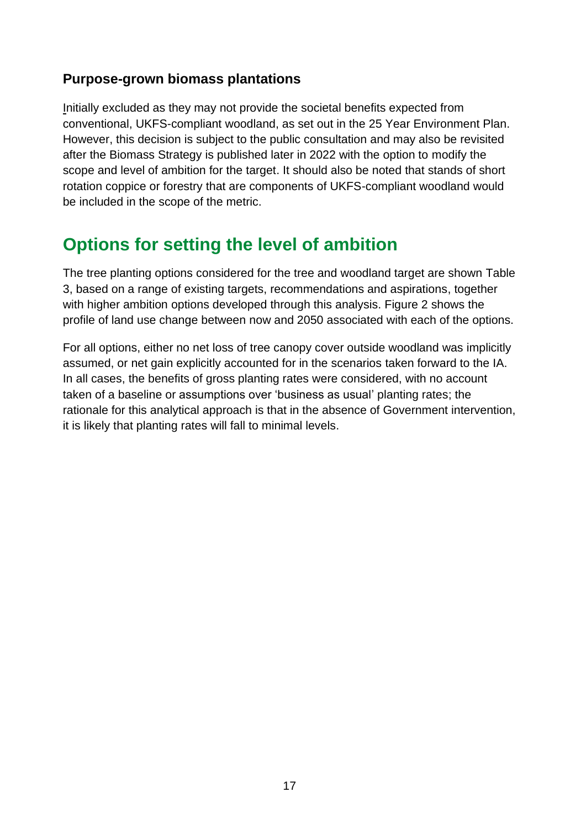#### **Purpose-grown biomass plantations**

Initially excluded as they may not provide the societal benefits expected from conventional, UKFS-compliant woodland, as set out in the 25 Year Environment Plan. However, this decision is subject to the public consultation and may also be revisited after the Biomass Strategy is published later in 2022 with the option to modify the scope and level of ambition for the target. It should also be noted that stands of short rotation coppice or forestry that are components of UKFS-compliant woodland would be included in the scope of the metric.

## **Options for setting the level of ambition**

The tree planting options considered for the tree and woodland target are shown Table 3, based on a range of existing targets, recommendations and aspirations, together with higher ambition options developed through this analysis. Figure 2 shows the profile of land use change between now and 2050 associated with each of the options.

For all options, either no net loss of tree canopy cover outside woodland was implicitly assumed, or net gain explicitly accounted for in the scenarios taken forward to the IA. In all cases, the benefits of gross planting rates were considered, with no account taken of a baseline or assumptions over 'business as usual' planting rates; the rationale for this analytical approach is that in the absence of Government intervention, it is likely that planting rates will fall to minimal levels.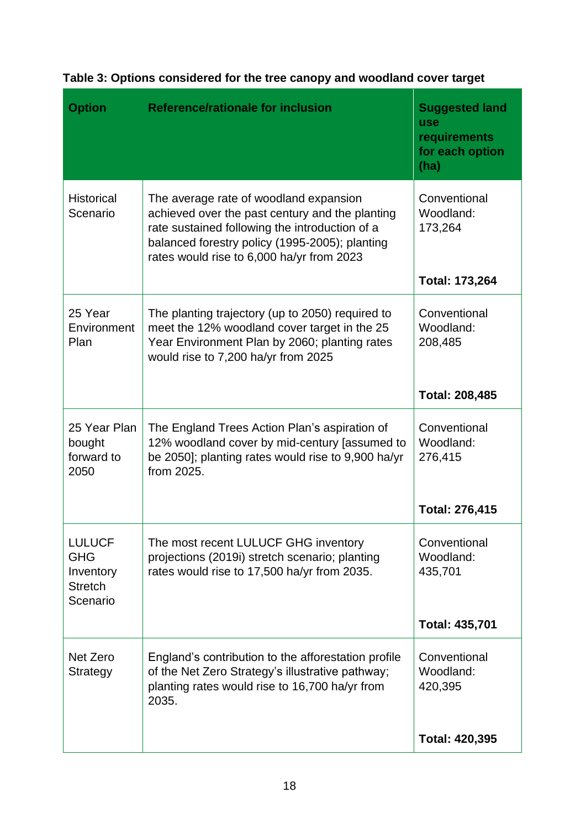| <b>Option</b>                                                          | <b>Reference/rationale for inclusion</b>                                                                                                                                                                                                   | <b>Suggested land</b><br><b>use</b><br>requirements<br>for each option<br>(ha) |
|------------------------------------------------------------------------|--------------------------------------------------------------------------------------------------------------------------------------------------------------------------------------------------------------------------------------------|--------------------------------------------------------------------------------|
| <b>Historical</b><br>Scenario                                          | The average rate of woodland expansion<br>achieved over the past century and the planting<br>rate sustained following the introduction of a<br>balanced forestry policy (1995-2005); planting<br>rates would rise to 6,000 ha/yr from 2023 | Conventional<br>Woodland:<br>173,264<br>Total: 173,264                         |
| 25 Year<br>Environment<br>Plan                                         | The planting trajectory (up to 2050) required to<br>meet the 12% woodland cover target in the 25<br>Year Environment Plan by 2060; planting rates<br>would rise to 7,200 ha/yr from 2025                                                   | Conventional<br>Woodland:<br>208,485<br><b>Total: 208,485</b>                  |
| 25 Year Plan<br>bought<br>forward to<br>2050                           | The England Trees Action Plan's aspiration of<br>12% woodland cover by mid-century [assumed to<br>be 2050]; planting rates would rise to 9,900 ha/yr<br>from 2025.                                                                         | Conventional<br>Woodland:<br>276,415<br><b>Total: 276,415</b>                  |
| <b>LULUCF</b><br><b>GHG</b><br>Inventory<br><b>Stretch</b><br>Scenario | The most recent LULUCF GHG inventory<br>projections (2019i) stretch scenario; planting<br>rates would rise to 17,500 ha/yr from 2035.                                                                                                      | Conventional<br>Woodland:<br>435,701<br><b>Total: 435,701</b>                  |
| Net Zero<br>Strategy                                                   | England's contribution to the afforestation profile<br>of the Net Zero Strategy's illustrative pathway;<br>planting rates would rise to 16,700 ha/yr from<br>2035.                                                                         | Conventional<br>Woodland:<br>420,395<br>Total: 420,395                         |

#### **Table 3: Options considered for the tree canopy and woodland cover target**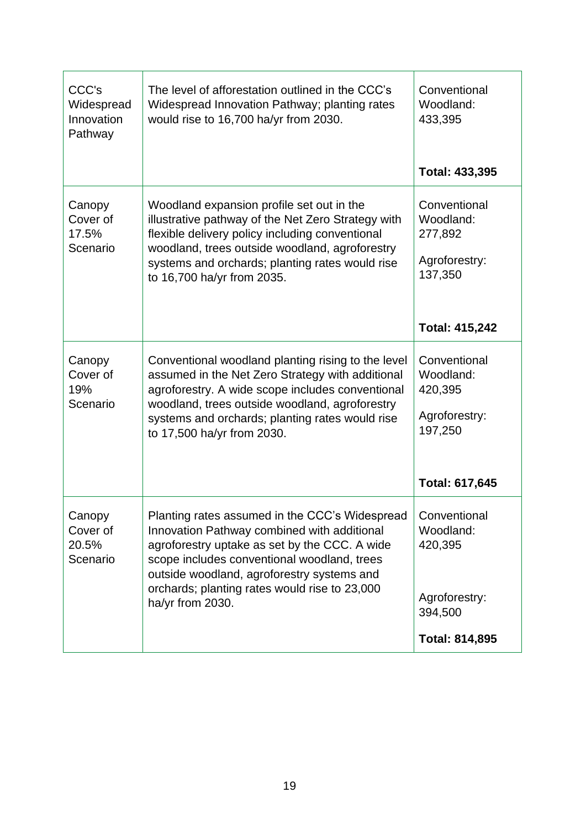| CCC's<br>Widespread<br>Innovation<br>Pathway | The level of afforestation outlined in the CCC's<br>Widespread Innovation Pathway; planting rates<br>would rise to 16,700 ha/yr from 2030.                                                                                                                                                                       | Conventional<br>Woodland:<br>433,395<br><b>Total: 433,395</b>                             |
|----------------------------------------------|------------------------------------------------------------------------------------------------------------------------------------------------------------------------------------------------------------------------------------------------------------------------------------------------------------------|-------------------------------------------------------------------------------------------|
| Canopy<br>Cover of<br>17.5%<br>Scenario      | Woodland expansion profile set out in the<br>illustrative pathway of the Net Zero Strategy with<br>flexible delivery policy including conventional<br>woodland, trees outside woodland, agroforestry<br>systems and orchards; planting rates would rise<br>to 16,700 ha/yr from 2035.                            | Conventional<br>Woodland:<br>277,892<br>Agroforestry:<br>137,350<br><b>Total: 415,242</b> |
| Canopy<br>Cover of<br>19%<br>Scenario        | Conventional woodland planting rising to the level<br>assumed in the Net Zero Strategy with additional<br>agroforestry. A wide scope includes conventional<br>woodland, trees outside woodland, agroforestry<br>systems and orchards; planting rates would rise<br>to 17,500 ha/yr from 2030.                    | Conventional<br>Woodland:<br>420,395<br>Agroforestry:<br>197,250<br>Total: 617,645        |
| Canopy<br>Cover of<br>20.5%<br>Scenario      | Planting rates assumed in the CCC's Widespread<br>Innovation Pathway combined with additional<br>agroforestry uptake as set by the CCC. A wide<br>scope includes conventional woodland, trees<br>outside woodland, agroforestry systems and<br>orchards; planting rates would rise to 23,000<br>ha/yr from 2030. | Conventional<br>Woodland:<br>420,395<br>Agroforestry:<br>394,500<br><b>Total: 814,895</b> |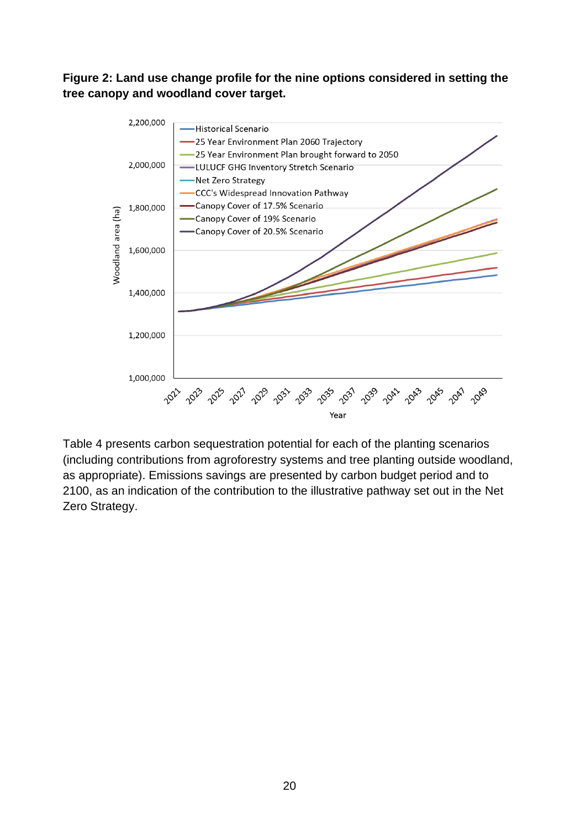**Figure 2: Land use change profile for the nine options considered in setting the tree canopy and woodland cover target.**



Table 4 presents carbon sequestration potential for each of the planting scenarios (including contributions from agroforestry systems and tree planting outside woodland, as appropriate). Emissions savings are presented by carbon budget period and to 2100, as an indication of the contribution to the illustrative pathway set out in the Net Zero Strategy.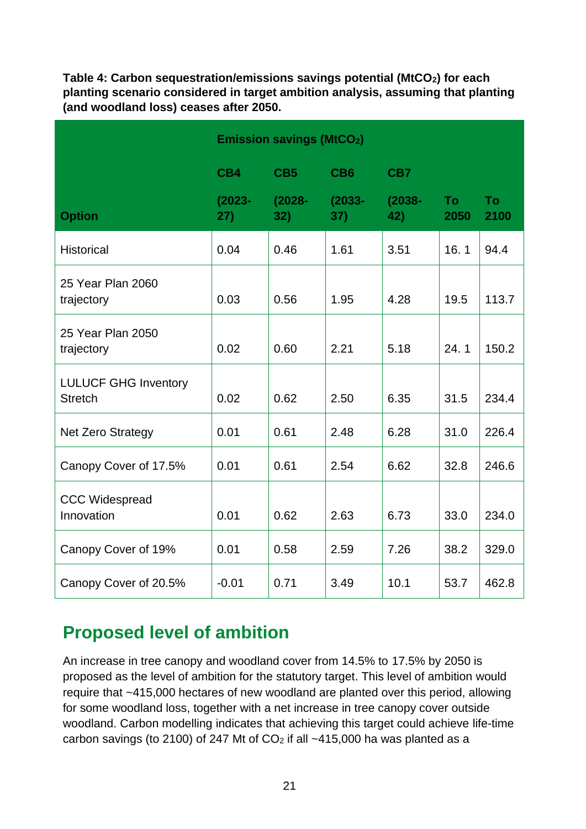**Table 4: Carbon sequestration/emissions savings potential (MtCO2) for each planting scenario considered in target ambition analysis, assuming that planting (and woodland loss) ceases after 2050.**

|                                               | <b>Emission savings (MtCO2)</b> |                  |                  |                  |                   |                   |
|-----------------------------------------------|---------------------------------|------------------|------------------|------------------|-------------------|-------------------|
|                                               | CB4                             | CB <sub>5</sub>  | CB <sub>6</sub>  | CB7              |                   |                   |
| <b>Option</b>                                 | $(2023 -$<br>27)                | $(2028 -$<br>32) | $(2033 -$<br>37) | $(2038 -$<br>42) | <b>To</b><br>2050 | <b>To</b><br>2100 |
| <b>Historical</b>                             | 0.04                            | 0.46             | 1.61             | 3.51             | 16.1              | 94.4              |
| 25 Year Plan 2060<br>trajectory               | 0.03                            | 0.56             | 1.95             | 4.28             | 19.5              | 113.7             |
| 25 Year Plan 2050<br>trajectory               | 0.02                            | 0.60             | 2.21             | 5.18             | 24.1              | 150.2             |
| <b>LULUCF GHG Inventory</b><br><b>Stretch</b> | 0.02                            | 0.62             | 2.50             | 6.35             | 31.5              | 234.4             |
| <b>Net Zero Strategy</b>                      | 0.01                            | 0.61             | 2.48             | 6.28             | 31.0              | 226.4             |
| Canopy Cover of 17.5%                         | 0.01                            | 0.61             | 2.54             | 6.62             | 32.8              | 246.6             |
| <b>CCC Widespread</b><br>Innovation           | 0.01                            | 0.62             | 2.63             | 6.73             | 33.0              | 234.0             |
| Canopy Cover of 19%                           | 0.01                            | 0.58             | 2.59             | 7.26             | 38.2              | 329.0             |
| Canopy Cover of 20.5%                         | $-0.01$                         | 0.71             | 3.49             | 10.1             | 53.7              | 462.8             |

### **Proposed level of ambition**

An increase in tree canopy and woodland cover from 14.5% to 17.5% by 2050 is proposed as the level of ambition for the statutory target. This level of ambition would require that ~415,000 hectares of new woodland are planted over this period, allowing for some woodland loss, together with a net increase in tree canopy cover outside woodland. Carbon modelling indicates that achieving this target could achieve life-time carbon savings (to 2100) of 247 Mt of  $CO<sub>2</sub>$  if all ~415,000 ha was planted as a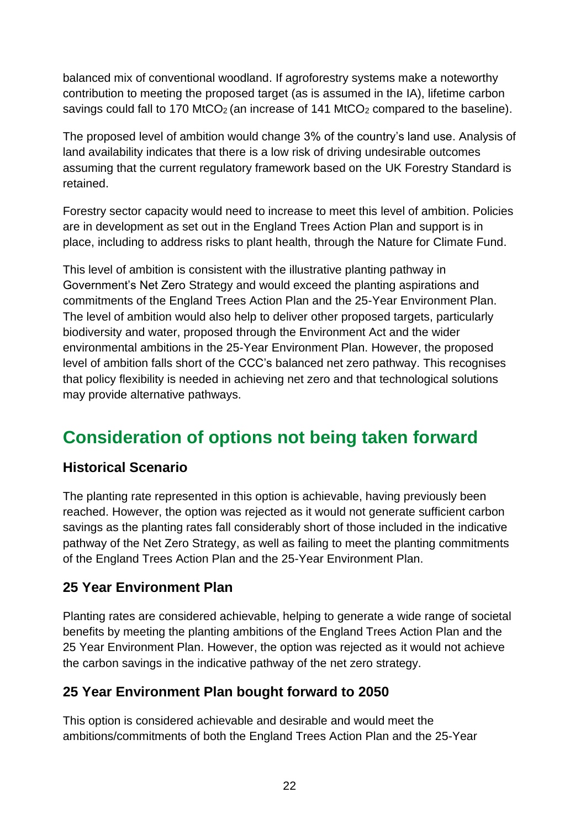balanced mix of conventional woodland. If agroforestry systems make a noteworthy contribution to meeting the proposed target (as is assumed in the IA), lifetime carbon savings could fall to 170 MtCO<sub>2</sub> (an increase of 141 MtCO<sub>2</sub> compared to the baseline).

The proposed level of ambition would change 3% of the country's land use. Analysis of land availability indicates that there is a low risk of driving undesirable outcomes assuming that the current regulatory framework based on the UK Forestry Standard is retained.

Forestry sector capacity would need to increase to meet this level of ambition. Policies are in development as set out in the England Trees Action Plan and support is in place, including to address risks to plant health, through the Nature for Climate Fund.

This level of ambition is consistent with the illustrative planting pathway in Government's Net Zero Strategy and would exceed the planting aspirations and commitments of the England Trees Action Plan and the 25-Year Environment Plan. The level of ambition would also help to deliver other proposed targets, particularly biodiversity and water, proposed through the Environment Act and the wider environmental ambitions in the 25-Year Environment Plan. However, the proposed level of ambition falls short of the CCC's balanced net zero pathway. This recognises that policy flexibility is needed in achieving net zero and that technological solutions may provide alternative pathways.

## **Consideration of options not being taken forward**

#### **Historical Scenario**

The planting rate represented in this option is achievable, having previously been reached. However, the option was rejected as it would not generate sufficient carbon savings as the planting rates fall considerably short of those included in the indicative pathway of the Net Zero Strategy, as well as failing to meet the planting commitments of the England Trees Action Plan and the 25-Year Environment Plan.

#### **25 Year Environment Plan**

Planting rates are considered achievable, helping to generate a wide range of societal benefits by meeting the planting ambitions of the England Trees Action Plan and the 25 Year Environment Plan. However, the option was rejected as it would not achieve the carbon savings in the indicative pathway of the net zero strategy.

#### **25 Year Environment Plan bought forward to 2050**

This option is considered achievable and desirable and would meet the ambitions/commitments of both the England Trees Action Plan and the 25-Year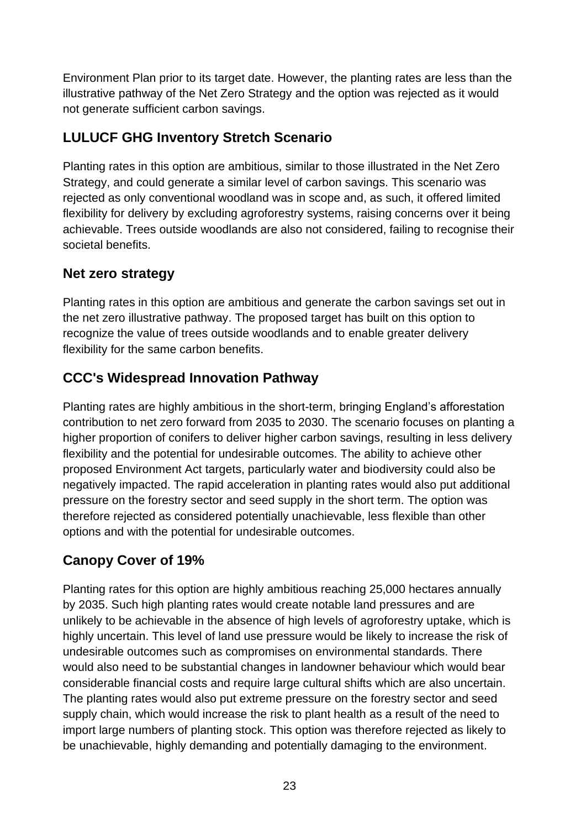Environment Plan prior to its target date. However, the planting rates are less than the illustrative pathway of the Net Zero Strategy and the option was rejected as it would not generate sufficient carbon savings.

#### **LULUCF GHG Inventory Stretch Scenario**

Planting rates in this option are ambitious, similar to those illustrated in the Net Zero Strategy, and could generate a similar level of carbon savings. This scenario was rejected as only conventional woodland was in scope and, as such, it offered limited flexibility for delivery by excluding agroforestry systems, raising concerns over it being achievable. Trees outside woodlands are also not considered, failing to recognise their societal benefits.

#### **Net zero strategy**

Planting rates in this option are ambitious and generate the carbon savings set out in the net zero illustrative pathway. The proposed target has built on this option to recognize the value of trees outside woodlands and to enable greater delivery flexibility for the same carbon benefits.

#### **CCC's Widespread Innovation Pathway**

Planting rates are highly ambitious in the short-term, bringing England's afforestation contribution to net zero forward from 2035 to 2030. The scenario focuses on planting a higher proportion of conifers to deliver higher carbon savings, resulting in less delivery flexibility and the potential for undesirable outcomes. The ability to achieve other proposed Environment Act targets, particularly water and biodiversity could also be negatively impacted. The rapid acceleration in planting rates would also put additional pressure on the forestry sector and seed supply in the short term. The option was therefore rejected as considered potentially unachievable, less flexible than other options and with the potential for undesirable outcomes.

#### **Canopy Cover of 19%**

Planting rates for this option are highly ambitious reaching 25,000 hectares annually by 2035. Such high planting rates would create notable land pressures and are unlikely to be achievable in the absence of high levels of agroforestry uptake, which is highly uncertain. This level of land use pressure would be likely to increase the risk of undesirable outcomes such as compromises on environmental standards. There would also need to be substantial changes in landowner behaviour which would bear considerable financial costs and require large cultural shifts which are also uncertain. The planting rates would also put extreme pressure on the forestry sector and seed supply chain, which would increase the risk to plant health as a result of the need to import large numbers of planting stock. This option was therefore rejected as likely to be unachievable, highly demanding and potentially damaging to the environment.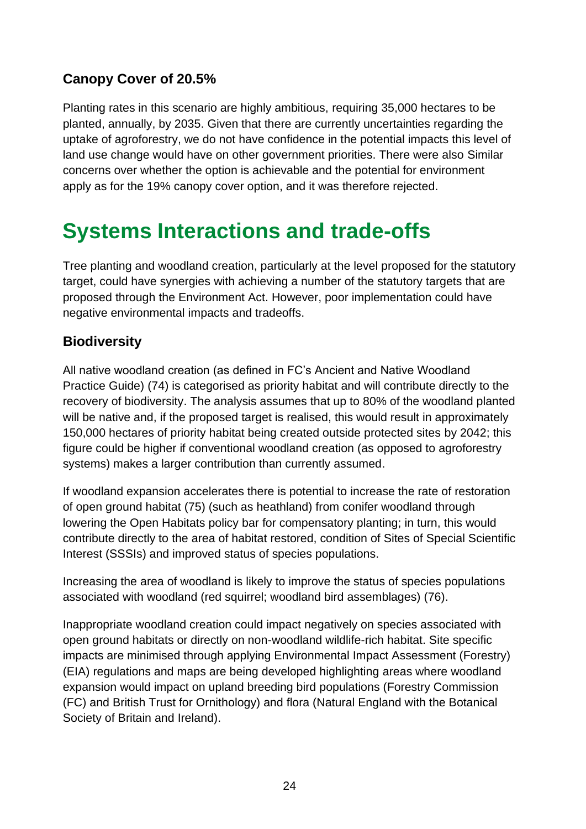#### **Canopy Cover of 20.5%**

Planting rates in this scenario are highly ambitious, requiring 35,000 hectares to be planted, annually, by 2035. Given that there are currently uncertainties regarding the uptake of agroforestry, we do not have confidence in the potential impacts this level of land use change would have on other government priorities. There were also Similar concerns over whether the option is achievable and the potential for environment apply as for the 19% canopy cover option, and it was therefore rejected.

# <span id="page-23-0"></span>**Systems Interactions and trade-offs**

Tree planting and woodland creation, particularly at the level proposed for the statutory target, could have synergies with achieving a number of the statutory targets that are proposed through the Environment Act. However, poor implementation could have negative environmental impacts and tradeoffs.

#### **Biodiversity**

All native woodland creation (as defined in FC's Ancient and Native Woodland Practice Guide) (74) is categorised as priority habitat and will contribute directly to the recovery of biodiversity. The analysis assumes that up to 80% of the woodland planted will be native and, if the proposed target is realised, this would result in approximately 150,000 hectares of priority habitat being created outside protected sites by 2042; this figure could be higher if conventional woodland creation (as opposed to agroforestry systems) makes a larger contribution than currently assumed.

If woodland expansion accelerates there is potential to increase the rate of restoration of open ground habitat (75) (such as heathland) from conifer woodland through lowering the Open Habitats policy bar for compensatory planting; in turn, this would contribute directly to the area of habitat restored, condition of Sites of Special Scientific Interest (SSSIs) and improved status of species populations.

Increasing the area of woodland is likely to improve the status of species populations associated with woodland (red squirrel; woodland bird assemblages) (76).

Inappropriate woodland creation could impact negatively on species associated with open ground habitats or directly on non-woodland wildlife-rich habitat. Site specific impacts are minimised through applying Environmental Impact Assessment (Forestry) (EIA) regulations and maps are being developed highlighting areas where woodland expansion would impact on upland breeding bird populations (Forestry Commission (FC) and British Trust for Ornithology) and flora (Natural England with the Botanical Society of Britain and Ireland).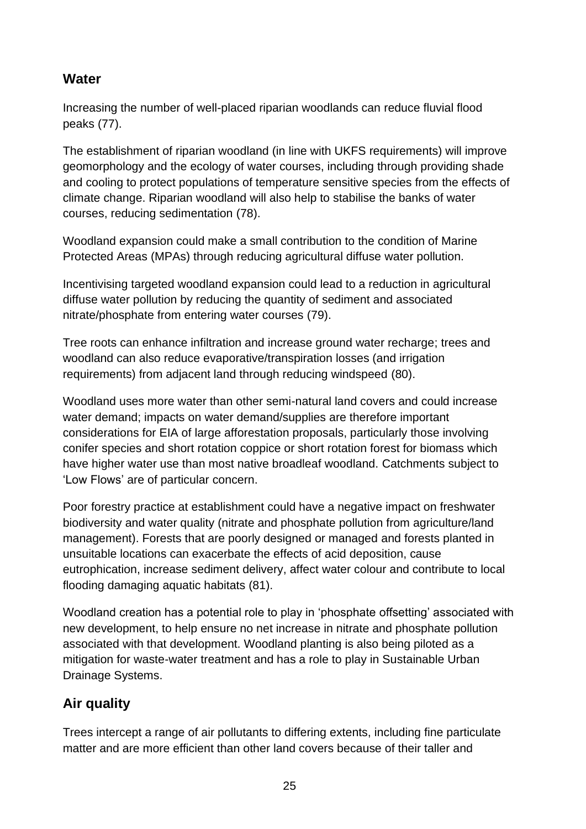#### **Water**

Increasing the number of well-placed riparian woodlands can reduce fluvial flood peaks (77).

The establishment of riparian woodland (in line with UKFS requirements) will improve geomorphology and the ecology of water courses, including through providing shade and cooling to protect populations of temperature sensitive species from the effects of climate change. Riparian woodland will also help to stabilise the banks of water courses, reducing sedimentation (78).

Woodland expansion could make a small contribution to the condition of Marine Protected Areas (MPAs) through reducing agricultural diffuse water pollution.

Incentivising targeted woodland expansion could lead to a reduction in agricultural diffuse water pollution by reducing the quantity of sediment and associated nitrate/phosphate from entering water courses (79).

Tree roots can enhance infiltration and increase ground water recharge; trees and woodland can also reduce evaporative/transpiration losses (and irrigation requirements) from adjacent land through reducing windspeed (80).

Woodland uses more water than other semi-natural land covers and could increase water demand; impacts on water demand/supplies are therefore important considerations for EIA of large afforestation proposals, particularly those involving conifer species and short rotation coppice or short rotation forest for biomass which have higher water use than most native broadleaf woodland. Catchments subject to 'Low Flows' are of particular concern.

Poor forestry practice at establishment could have a negative impact on freshwater biodiversity and water quality (nitrate and phosphate pollution from agriculture/land management). Forests that are poorly designed or managed and forests planted in unsuitable locations can exacerbate the effects of acid deposition, cause eutrophication, increase sediment delivery, affect water colour and contribute to local flooding damaging aquatic habitats (81).

Woodland creation has a potential role to play in 'phosphate offsetting' associated with new development, to help ensure no net increase in nitrate and phosphate pollution associated with that development. Woodland planting is also being piloted as a mitigation for waste-water treatment and has a role to play in Sustainable Urban Drainage Systems.

#### **Air quality**

Trees intercept a range of air pollutants to differing extents, including fine particulate matter and are more efficient than other land covers because of their taller and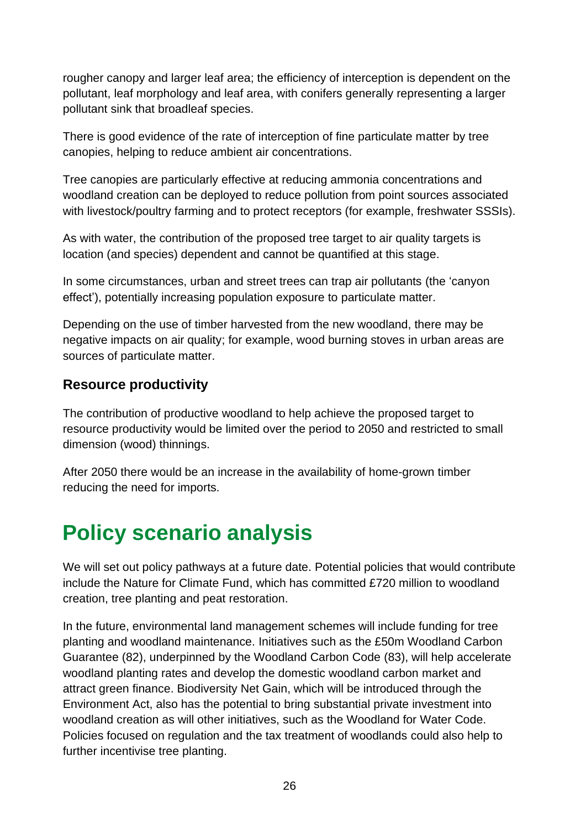rougher canopy and larger leaf area; the efficiency of interception is dependent on the pollutant, leaf morphology and leaf area, with conifers generally representing a larger pollutant sink that broadleaf species.

There is good evidence of the rate of interception of fine particulate matter by tree canopies, helping to reduce ambient air concentrations.

Tree canopies are particularly effective at reducing ammonia concentrations and woodland creation can be deployed to reduce pollution from point sources associated with livestock/poultry farming and to protect receptors (for example, freshwater SSSIs).

As with water, the contribution of the proposed tree target to air quality targets is location (and species) dependent and cannot be quantified at this stage.

In some circumstances, urban and street trees can trap air pollutants (the 'canyon effect'), potentially increasing population exposure to particulate matter.

Depending on the use of timber harvested from the new woodland, there may be negative impacts on air quality; for example, wood burning stoves in urban areas are sources of particulate matter.

#### **Resource productivity**

The contribution of productive woodland to help achieve the proposed target to resource productivity would be limited over the period to 2050 and restricted to small dimension (wood) thinnings.

After 2050 there would be an increase in the availability of home-grown timber reducing the need for imports.

## <span id="page-25-0"></span>**Policy scenario analysis**

We will set out policy pathways at a future date. Potential policies that would contribute include the Nature for Climate Fund, which has committed £720 million to woodland creation, tree planting and peat restoration.

In the future, environmental land management schemes will include funding for tree planting and woodland maintenance. Initiatives such as the £50m Woodland Carbon Guarantee (82), underpinned by the Woodland Carbon Code (83), will help accelerate woodland planting rates and develop the domestic woodland carbon market and attract green finance. Biodiversity Net Gain, which will be introduced through the Environment Act, also has the potential to bring substantial private investment into woodland creation as will other initiatives, such as the Woodland for Water Code. Policies focused on regulation and the tax treatment of woodlands could also help to further incentivise tree planting.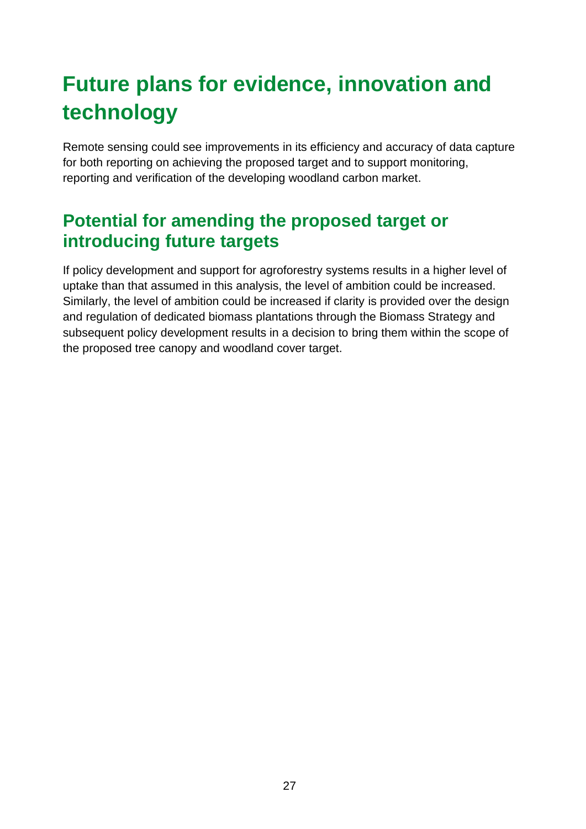# <span id="page-26-0"></span>**Future plans for evidence, innovation and technology**

Remote sensing could see improvements in its efficiency and accuracy of data capture for both reporting on achieving the proposed target and to support monitoring, reporting and verification of the developing woodland carbon market.

## **Potential for amending the proposed target or introducing future targets**

If policy development and support for agroforestry systems results in a higher level of uptake than that assumed in this analysis, the level of ambition could be increased. Similarly, the level of ambition could be increased if clarity is provided over the design and regulation of dedicated biomass plantations through the Biomass Strategy and subsequent policy development results in a decision to bring them within the scope of the proposed tree canopy and woodland cover target.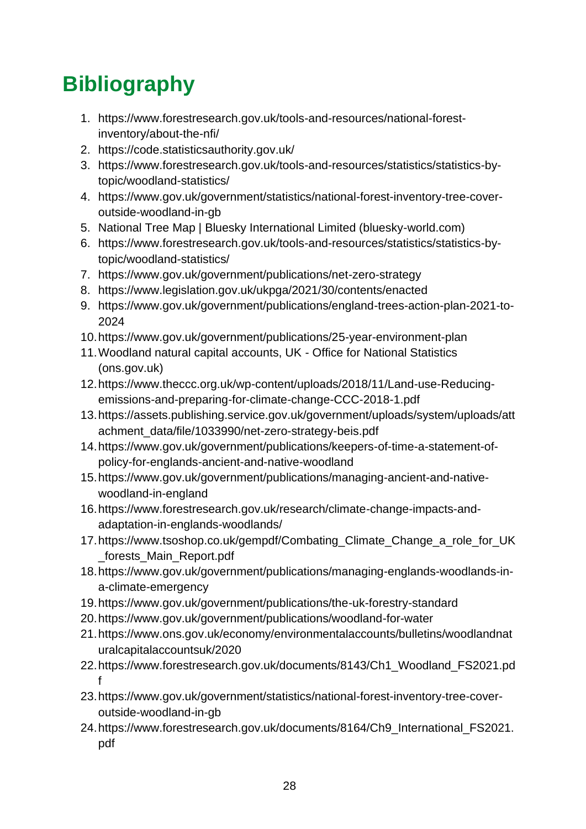# <span id="page-27-0"></span>**Bibliography**

- 1. https://www.forestresearch.gov.uk/tools-and-resources/national-forestinventory/about-the-nfi/
- 2. https://code.statisticsauthority.gov.uk/
- 3. https://www.forestresearch.gov.uk/tools-and-resources/statistics/statistics-bytopic/woodland-statistics/
- 4. https://www.gov.uk/government/statistics/national-forest-inventory-tree-coveroutside-woodland-in-gb
- 5. National Tree Map | Bluesky International Limited (bluesky-world.com)
- 6. https://www.forestresearch.gov.uk/tools-and-resources/statistics/statistics-bytopic/woodland-statistics/
- 7. https://www.gov.uk/government/publications/net-zero-strategy
- 8. https://www.legislation.gov.uk/ukpga/2021/30/contents/enacted
- 9. https://www.gov.uk/government/publications/england-trees-action-plan-2021-to-2024
- 10.https://www.gov.uk/government/publications/25-year-environment-plan
- 11.Woodland natural capital accounts, UK Office for National Statistics (ons.gov.uk)
- 12.https://www.theccc.org.uk/wp-content/uploads/2018/11/Land-use-Reducingemissions-and-preparing-for-climate-change-CCC-2018-1.pdf
- 13.https://assets.publishing.service.gov.uk/government/uploads/system/uploads/att achment\_data/file/1033990/net-zero-strategy-beis.pdf
- 14.https://www.gov.uk/government/publications/keepers-of-time-a-statement-ofpolicy-for-englands-ancient-and-native-woodland
- 15.https://www.gov.uk/government/publications/managing-ancient-and-nativewoodland-in-england
- 16.https://www.forestresearch.gov.uk/research/climate-change-impacts-andadaptation-in-englands-woodlands/
- 17.https://www.tsoshop.co.uk/gempdf/Combating\_Climate\_Change\_a\_role\_for\_UK \_forests\_Main\_Report.pdf
- 18.https://www.gov.uk/government/publications/managing-englands-woodlands-ina-climate-emergency
- 19.https://www.gov.uk/government/publications/the-uk-forestry-standard
- 20.https://www.gov.uk/government/publications/woodland-for-water
- 21.https://www.ons.gov.uk/economy/environmentalaccounts/bulletins/woodlandnat uralcapitalaccountsuk/2020
- 22.https://www.forestresearch.gov.uk/documents/8143/Ch1\_Woodland\_FS2021.pd f
- 23.https://www.gov.uk/government/statistics/national-forest-inventory-tree-coveroutside-woodland-in-gb
- 24.https://www.forestresearch.gov.uk/documents/8164/Ch9\_International\_FS2021. pdf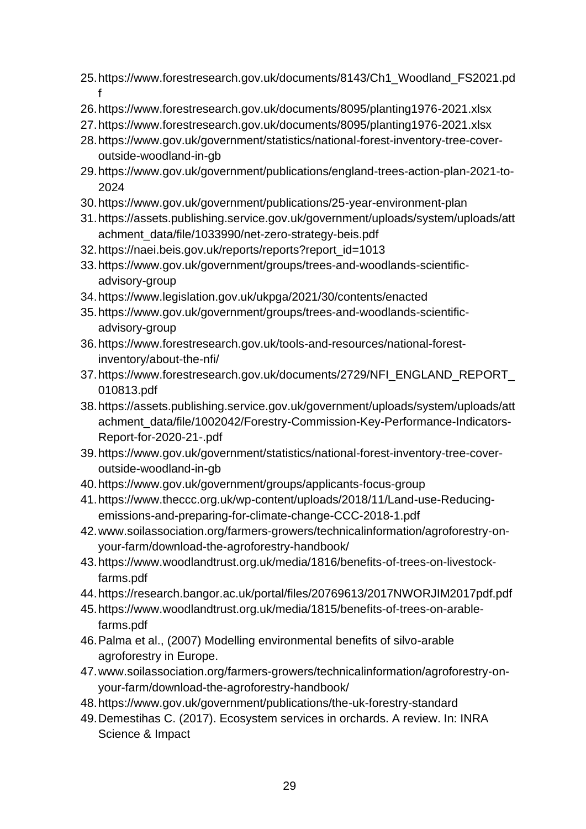- 25.https://www.forestresearch.gov.uk/documents/8143/Ch1\_Woodland\_FS2021.pd f
- 26.https://www.forestresearch.gov.uk/documents/8095/planting1976-2021.xlsx
- 27.https://www.forestresearch.gov.uk/documents/8095/planting1976-2021.xlsx
- 28.https://www.gov.uk/government/statistics/national-forest-inventory-tree-coveroutside-woodland-in-gb
- 29.https://www.gov.uk/government/publications/england-trees-action-plan-2021-to-2024
- 30.https://www.gov.uk/government/publications/25-year-environment-plan
- 31.https://assets.publishing.service.gov.uk/government/uploads/system/uploads/att achment\_data/file/1033990/net-zero-strategy-beis.pdf
- 32.https://naei.beis.gov.uk/reports/reports?report\_id=1013
- 33.https://www.gov.uk/government/groups/trees-and-woodlands-scientificadvisory-group
- 34.https://www.legislation.gov.uk/ukpga/2021/30/contents/enacted
- 35.https://www.gov.uk/government/groups/trees-and-woodlands-scientificadvisory-group
- 36.https://www.forestresearch.gov.uk/tools-and-resources/national-forestinventory/about-the-nfi/
- 37.https://www.forestresearch.gov.uk/documents/2729/NFI\_ENGLAND\_REPORT\_ 010813.pdf
- 38.https://assets.publishing.service.gov.uk/government/uploads/system/uploads/att achment\_data/file/1002042/Forestry-Commission-Key-Performance-Indicators-Report-for-2020-21-.pdf
- 39.https://www.gov.uk/government/statistics/national-forest-inventory-tree-coveroutside-woodland-in-gb
- 40.https://www.gov.uk/government/groups/applicants-focus-group
- 41.https://www.theccc.org.uk/wp-content/uploads/2018/11/Land-use-Reducingemissions-and-preparing-for-climate-change-CCC-2018-1.pdf
- 42.www.soilassociation.org/farmers-growers/technicalinformation/agroforestry-onyour-farm/download-the-agroforestry-handbook/
- 43.https://www.woodlandtrust.org.uk/media/1816/benefits-of-trees-on-livestockfarms.pdf
- 44.https://research.bangor.ac.uk/portal/files/20769613/2017NWORJIM2017pdf.pdf
- 45.https://www.woodlandtrust.org.uk/media/1815/benefits-of-trees-on-arablefarms.pdf
- 46.Palma et al., (2007) Modelling environmental benefits of silvo-arable agroforestry in Europe.
- 47.www.soilassociation.org/farmers-growers/technicalinformation/agroforestry-onyour-farm/download-the-agroforestry-handbook/
- 48.https://www.gov.uk/government/publications/the-uk-forestry-standard
- 49.Demestihas C. (2017). Ecosystem services in orchards. A review. In: INRA Science & Impact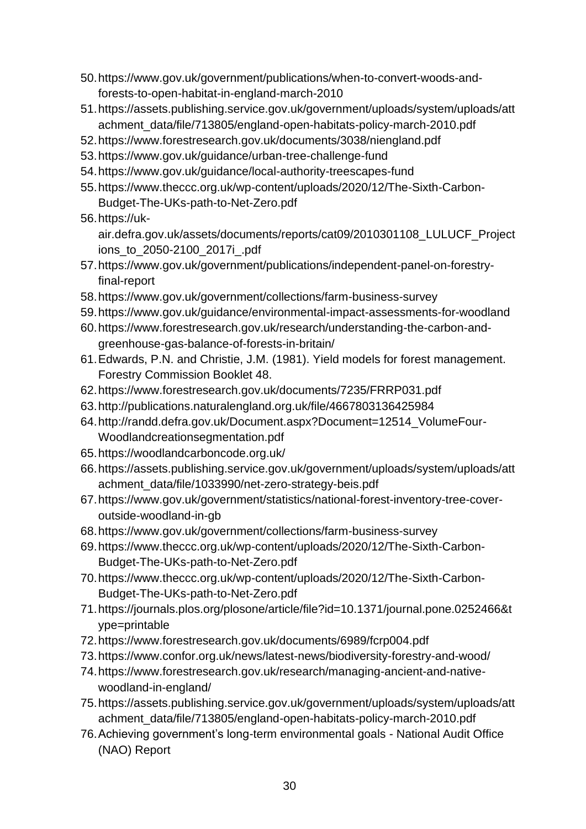- 50.https://www.gov.uk/government/publications/when-to-convert-woods-andforests-to-open-habitat-in-england-march-2010
- 51.https://assets.publishing.service.gov.uk/government/uploads/system/uploads/att achment\_data/file/713805/england-open-habitats-policy-march-2010.pdf
- 52.https://www.forestresearch.gov.uk/documents/3038/niengland.pdf
- 53.https://www.gov.uk/guidance/urban-tree-challenge-fund
- 54.https://www.gov.uk/guidance/local-authority-treescapes-fund
- 55.https://www.theccc.org.uk/wp-content/uploads/2020/12/The-Sixth-Carbon-Budget-The-UKs-path-to-Net-Zero.pdf
- 56.https://uk-

air.defra.gov.uk/assets/documents/reports/cat09/2010301108\_LULUCF\_Project ions\_to\_2050-2100\_2017i\_.pdf

- 57.https://www.gov.uk/government/publications/independent-panel-on-forestryfinal-report
- 58.https://www.gov.uk/government/collections/farm-business-survey
- 59.https://www.gov.uk/guidance/environmental-impact-assessments-for-woodland
- 60.https://www.forestresearch.gov.uk/research/understanding-the-carbon-andgreenhouse-gas-balance-of-forests-in-britain/
- 61.Edwards, P.N. and Christie, J.M. (1981). Yield models for forest management. Forestry Commission Booklet 48.
- 62.https://www.forestresearch.gov.uk/documents/7235/FRRP031.pdf
- 63.http://publications.naturalengland.org.uk/file/4667803136425984
- 64.http://randd.defra.gov.uk/Document.aspx?Document=12514\_VolumeFour-Woodlandcreationsegmentation.pdf
- 65.https://woodlandcarboncode.org.uk/
- 66.https://assets.publishing.service.gov.uk/government/uploads/system/uploads/att achment\_data/file/1033990/net-zero-strategy-beis.pdf
- 67.https://www.gov.uk/government/statistics/national-forest-inventory-tree-coveroutside-woodland-in-gb
- 68.https://www.gov.uk/government/collections/farm-business-survey
- 69.https://www.theccc.org.uk/wp-content/uploads/2020/12/The-Sixth-Carbon-Budget-The-UKs-path-to-Net-Zero.pdf
- 70.https://www.theccc.org.uk/wp-content/uploads/2020/12/The-Sixth-Carbon-Budget-The-UKs-path-to-Net-Zero.pdf
- 71.https://journals.plos.org/plosone/article/file?id=10.1371/journal.pone.0252466&t ype=printable
- 72.https://www.forestresearch.gov.uk/documents/6989/fcrp004.pdf
- 73.https://www.confor.org.uk/news/latest-news/biodiversity-forestry-and-wood/
- 74.https://www.forestresearch.gov.uk/research/managing-ancient-and-nativewoodland-in-england/
- 75.https://assets.publishing.service.gov.uk/government/uploads/system/uploads/att achment\_data/file/713805/england-open-habitats-policy-march-2010.pdf
- 76.Achieving government's long-term environmental goals National Audit Office (NAO) Report